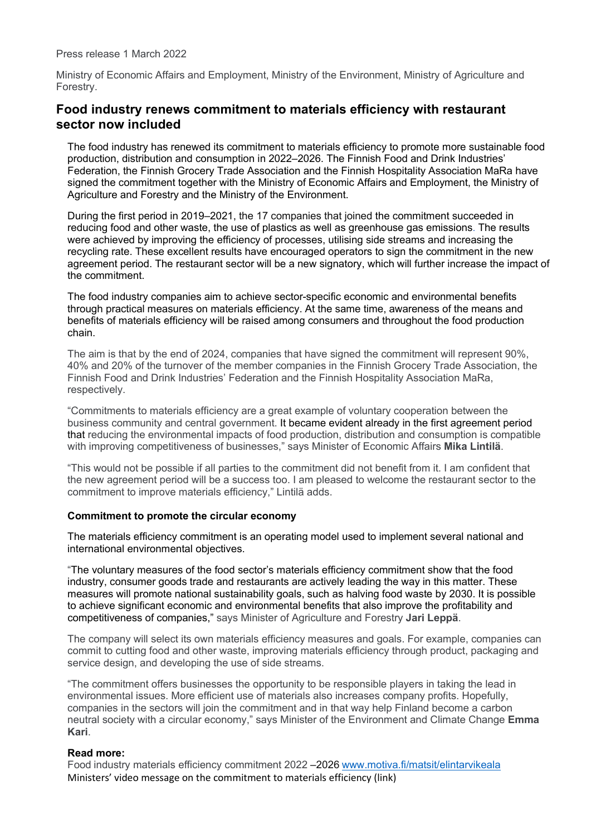Press release 1 March 2022

Ministry of Economic Affairs and Employment, Ministry of the Environment, Ministry of Agriculture and Forestry.

## **Food industry renews commitment to materials efficiency with restaurant sector now included**

The food industry has renewed its commitment to materials efficiency to promote more sustainable food production, distribution and consumption in 2022–2026. The Finnish Food and Drink Industries' Federation, the Finnish Grocery Trade Association and the Finnish Hospitality Association MaRa have signed the commitment together with the Ministry of Economic Affairs and Employment, the Ministry of Agriculture and Forestry and the Ministry of the Environment.

During the first period in 2019–2021, the 17 companies that joined the commitment succeeded in reducing food and other waste, the use of plastics as well as greenhouse gas emissions. The results were achieved by improving the efficiency of processes, utilising side streams and increasing the recycling rate. These excellent results have encouraged operators to sign the commitment in the new agreement period. The restaurant sector will be a new signatory, which will further increase the impact of the commitment.

The food industry companies aim to achieve sector-specific economic and environmental benefits through practical measures on materials efficiency. At the same time, awareness of the means and benefits of materials efficiency will be raised among consumers and throughout the food production chain.

The aim is that by the end of 2024, companies that have signed the commitment will represent 90%, 40% and 20% of the turnover of the member companies in the Finnish Grocery Trade Association, the Finnish Food and Drink Industries' Federation and the Finnish Hospitality Association MaRa, respectively.

"Commitments to materials efficiency are a great example of voluntary cooperation between the business community and central government. It became evident already in the first agreement period that reducing the environmental impacts of food production, distribution and consumption is compatible with improving competitiveness of businesses," says Minister of Economic Affairs **Mika Lintilä**.

"This would not be possible if all parties to the commitment did not benefit from it. I am confident that the new agreement period will be a success too. I am pleased to welcome the restaurant sector to the commitment to improve materials efficiency," Lintilä adds.

## **Commitment to promote the circular economy**

The materials efficiency commitment is an operating model used to implement several national and international environmental objectives.

"The voluntary measures of the food sector's materials efficiency commitment show that the food industry, consumer goods trade and restaurants are actively leading the way in this matter. These measures will promote national sustainability goals, such as halving food waste by 2030. It is possible to achieve significant economic and environmental benefits that also improve the profitability and competitiveness of companies," says Minister of Agriculture and Forestry **Jari Leppä**.

The company will select its own materials efficiency measures and goals. For example, companies can commit to cutting food and other waste, improving materials efficiency through product, packaging and service design, and developing the use of side streams.

"The commitment offers businesses the opportunity to be responsible players in taking the lead in environmental issues. More efficient use of materials also increases company profits. Hopefully, companies in the sectors will join the commitment and in that way help Finland become a carbon neutral society with a circular economy," says Minister of the Environment and Climate Change **Emma Kari**.

## **Read more:**

Food industry materials efficiency commitment 2022 -2026 [www.motiva.fi/matsit/elintarvikeala](https://www.motiva.fi/ratkaisut/materiaalitehokkuus/materiaalitehokkuuden_sitoumukset/elintarvikealan_sitoumus) Ministers' video message on the commitment to materials efficiency (link)